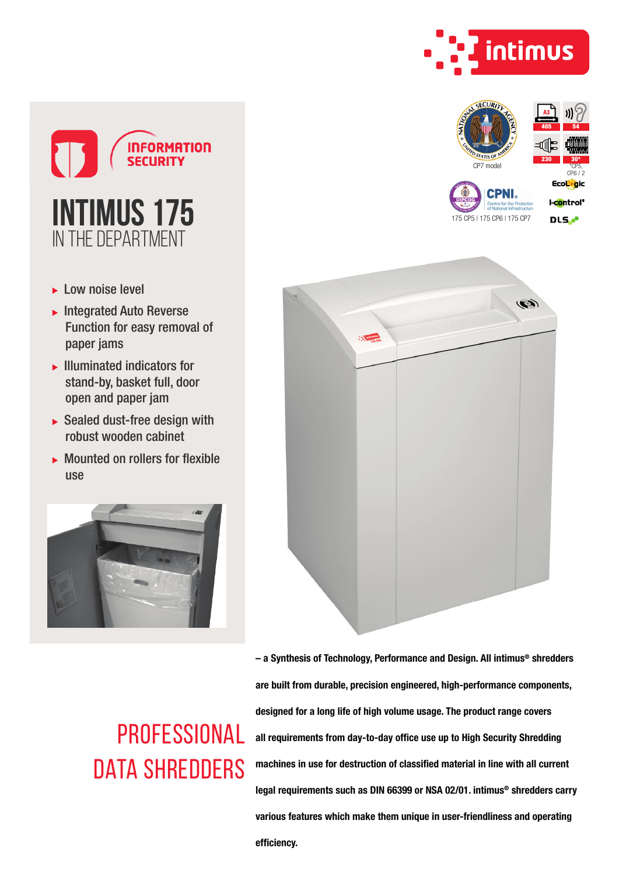

CP7 model

405 54

230 30\* \*CP5,  $CP6/2$ 

Eco<mark>tig</mark>ic



- ► Low noise level
- $\blacktriangleright$  Integrated Auto Reverse Function for easy removal of paper jams
- $\blacktriangleright$  Illuminated indicators for stand-by, basket full, door open and paper jam
- $\triangleright$  Sealed dust-free design with robust wooden cabinet
- $\triangleright$  Mounted on rollers for flexible use





**PROFESSIONAL** DATA SHREDDERS

– a Synthesis of Technology, Performance and Design. All intimus® shredders are built from durable, precision engineered, high-performance components, designed for a long life of high volume usage. The product range covers all requirements from day-to-day office use up to High Security Shredding machines in use for destruction of classified material in line with all current legal requirements such as DIN 66399 or NSA 02/01. intimus® shredders carry various features which make them unique in user-friendliness and operating efficiency.